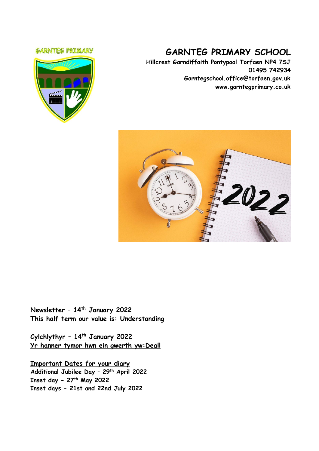### **GARNTEG PRIMARY**



# **GARNTEG PRIMARY SCHOOL**

**Hillcrest Garndiffaith Pontypool Torfaen NP4 7SJ 01495 742934 Garntegschool.office@torfaen.gov.uk www.garntegprimary.co.uk**



**Newsletter – 14th January 2022 This half term our value is: Understanding**

**Cylchlythyr – 14 th January 2022 Yr hanner tymor hwn ein gwerth yw:Deall**

**Important Dates for your diary Additional Jubilee Day – 29th April 2022 Inset day - 27th May 2022 Inset days - 21st and 22nd July 2022**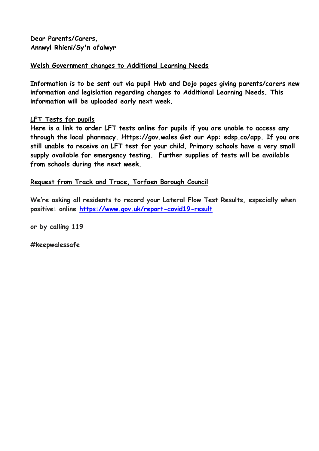**Dear Parents/Carers, Annwyl Rhieni/Sy'n ofalwyr**

### **Welsh Government changes to Additional Learning Needs**

**Information is to be sent out via pupil Hwb and Dojo pages giving parents/carers new information and legislation regarding changes to Additional Learning Needs. This information will be uploaded early next week.**

### **LFT Tests for pupils**

**Here is a link to order LFT tests online for pupils if you are unable to access any through the local pharmacy. Https://gov.wales Get our App: edsp.co/app. If you are still unable to receive an LFT test for your child, Primary schools have a very small supply available for emergency testing. Further supplies of tests will be available from schools during the next week.**

### **Request from Track and Trace, Torfaen Borough Council**

**We're asking all residents to record your Lateral Flow Test Results, especially when positive: online [https://www.gov.uk/report-covid19-result](https://eur03.safelinks.protection.outlook.com/?url=https%3A%2F%2Fscanmail.trustwave.com%2F%3Fc%3D261%26d%3DzLvc4fCyhjZft3Z9E_k9Mt_moCL0tnrCFqEYNAiykg%26u%3Dhttps%253a%252f%252femea01.safelinks.protection.outlook.com%252f%253furl%253dhttps%25253A%25252F%25252Fwww.gov.uk%25252Freport-covid19-result%2526data%253d04%25257C01%25257C%25257Ce5f565d7534b4691b74608d9d43f3811%25257C84df9e7fe9f640afb435aaaaaaaaaaaa%25257C1%25257C0%25257C637774190252669384%25257CUnknown%25257CTWFpbGZsb3d8eyJWIjoiMC4wLjAwMDAiLCJQIjoiV2luMzIiLCJBTiI6Ik1haWwiLCJXVCI6Mn0%25253D%25257C3000%2526sdata%253dqftNUncb9TmeugmOV50U00SjpKBAGP2KucQJyzx%25252Bupo%25253D%2526reserved%253d0&data=04%7C01%7CSharron.Williams%40torfaen.gov.uk%7C6c427a428e094bcf6cb108d9d6a015cb%7C2c4d0079c52c4bb3b3cad8eaf1b6b7d5%7C0%7C0%7C637776805314522285%7CUnknown%7CTWFpbGZsb3d8eyJWIjoiMC4wLjAwMDAiLCJQIjoiV2luMzIiLCJBTiI6Ik1haWwiLCJXVCI6Mn0%3D%7C3000&sdata=TofgKOVmjydR7IoCB1pTW4PhPDoiOrC26dJp0JDzAfU%3D&reserved=0)**

**or by calling 119**

**#keepwalessafe**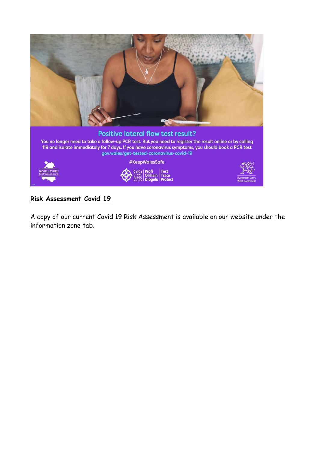

# **Risk Assessment Covid 19**

A copy of our current Covid 19 Risk Assessment is available on our website under the information zone tab.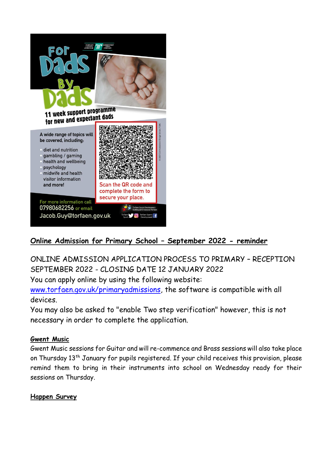

# **Online Admission for Primary School – September 2022 - reminder**

ONLINE ADMISSION APPLICATION PROCESS TO PRIMARY – RECEPTION SEPTEMBER 2022 - CLOSING DATE 12 JANUARY 2022

You can apply online by using the following website:

[www.torfaen.gov.uk/primaryadmissions,](http://www.torfaen.gov.uk/primaryadmissions) the software is compatible with all devices.

You may also be asked to "enable Two step verification" however, this is not necessary in order to complete the application.

### **Gwent Music**

Gwent Music sessions for Guitar and will re-commence and Brass sessions will also take place on Thursday 13<sup>th</sup> January for pupils registered. If your child receives this provision, please remind them to bring in their instruments into school on Wednesday ready for their sessions on Thursday.

### **Happen Survey**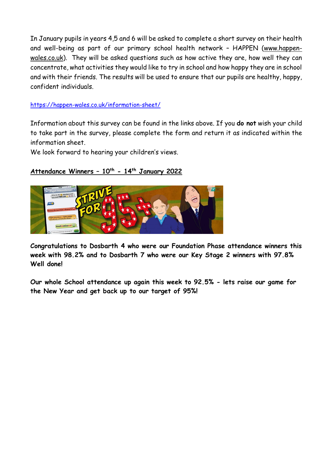In January pupils in years 4,5 and 6 will be asked to complete a short survey on their health and well-being as part of our primary school health network – HAPPEN [\(www.happen](https://eur03.safelinks.protection.outlook.com/?url=http%3A%2F%2Fwww.happen-wales.co.uk%2F&data=04%7C01%7CLinda.Davies%40torfaen.gov.uk%7Ccba7c9cdf62f4c6b03dd08d9b64fe66e%7C2c4d0079c52c4bb3b3cad8eaf1b6b7d5%7C0%7C0%7C637741276539056152%7CUnknown%7CTWFpbGZsb3d8eyJWIjoiMC4wLjAwMDAiLCJQIjoiV2luMzIiLCJBTiI6Ik1haWwiLCJXVCI6Mn0%3D%7C3000&sdata=OXBHW4wW2Ip9c6bKQ%2FhQNte7Mfel5tXdib5spxY6mPo%3D&reserved=0)[wales.co.uk\)](https://eur03.safelinks.protection.outlook.com/?url=http%3A%2F%2Fwww.happen-wales.co.uk%2F&data=04%7C01%7CLinda.Davies%40torfaen.gov.uk%7Ccba7c9cdf62f4c6b03dd08d9b64fe66e%7C2c4d0079c52c4bb3b3cad8eaf1b6b7d5%7C0%7C0%7C637741276539056152%7CUnknown%7CTWFpbGZsb3d8eyJWIjoiMC4wLjAwMDAiLCJQIjoiV2luMzIiLCJBTiI6Ik1haWwiLCJXVCI6Mn0%3D%7C3000&sdata=OXBHW4wW2Ip9c6bKQ%2FhQNte7Mfel5tXdib5spxY6mPo%3D&reserved=0). They will be asked questions such as how active they are, how well they can concentrate, what activities they would like to try in school and how happy they are in school and with their friends. The results will be used to ensure that our pupils are healthy, happy, confident individuals.

### [https://happen-wales.co.uk/information-sheet/](https://eur03.safelinks.protection.outlook.com/?url=https%3A%2F%2Fhappen-wales.co.uk%2Finformation-sheet%2F&data=04%7C01%7CLinda.Davies%40torfaen.gov.uk%7Ccba7c9cdf62f4c6b03dd08d9b64fe66e%7C2c4d0079c52c4bb3b3cad8eaf1b6b7d5%7C0%7C0%7C637741276539066123%7CUnknown%7CTWFpbGZsb3d8eyJWIjoiMC4wLjAwMDAiLCJQIjoiV2luMzIiLCJBTiI6Ik1haWwiLCJXVCI6Mn0%3D%7C3000&sdata=B1HtoQdy5coc70gbKZYChWvYK3bUxoGx6tKzs%2FRqSPo%3D&reserved=0)

Information about this survey can be found in the links above. If you **do not** wish your child to take part in the survey, please complete the form and return it as indicated within the information sheet.

We look forward to hearing your children's views.

## **Attendance Winners – 10th - 14th January 2022**



**Congratulations to Dosbarth 4 who were our Foundation Phase attendance winners this week with 98.2% and to Dosbarth 7 who were our Key Stage 2 winners with 97.8% Well done!**

**Our whole School attendance up again this week to 92.5% - lets raise our game for the New Year and get back up to our target of 95%!**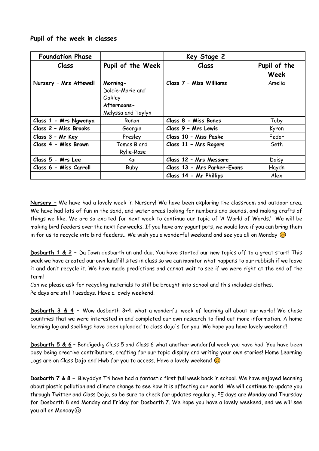|  |  |  | Pupil of the week in classes |
|--|--|--|------------------------------|
|  |  |  |                              |

| <b>Foundation Phase</b> |                                                                             | Key Stage 2                 |                      |
|-------------------------|-----------------------------------------------------------------------------|-----------------------------|----------------------|
| Class                   | Pupil of the Week                                                           | Class                       | Pupil of the<br>Week |
| Nursery - Mrs Attewell  | Morning-<br>Dolcie-Marie and<br>Oakley<br>Afternoons-<br>Melyssa and Taylyn | Class 7 - Miss Williams     | Amelia               |
| Class 1 - Mrs Ngwenya   | Ronan                                                                       | Class 8 - Miss Bones        | Toby                 |
| Class 2 - Miss Brooks   | Georgia                                                                     | Class 9 - Mrs Lewis         | Kyron                |
| Class 3 - Mr Key        | Presley                                                                     | Class 10 - Miss Paske       | Fedor                |
| Class 4 - Miss Brown    | Tomas B and<br>Rylie-Rose                                                   | Class 11 - Mrs Rogers       | Seth                 |
| Class 5 - Mrs Lee       | Kai                                                                         | Class 12 - Mrs Messore      | Daisy                |
| Class 6 - Miss Carroll  | Ruby                                                                        | Class 13 - Mrs Parker-Evans | Haydn                |
|                         |                                                                             | Class 14 - Mr Phillips      | Alex                 |

**Nursery –** We have had a lovely week in Nursery! We have been exploring the classroom and outdoor area. We have had lots of fun in the sand, and water areas looking for numbers and sounds, and making crafts of things we like. We are so excited for next week to continue our topic of 'A World of Words.' We will be making bird feeders over the next few weeks. If you have any yogurt pots, we would love if you can bring them in for us to recycle into bird feeders.. We wish you a wonderful weekend and see you all on Monday  $\odot$ 

**Dosbarth 1 & 2 –** Da Iawn dosbarth un and dau. You have started our new topics off to a great start! This week we have created our own landfill sites in class so we can monitor what happens to our rubbish if we leave it and don't recycle it. We have made predictions and cannot wait to see if we were right at the end of the term!

Can we please ask for recycling materials to still be brought into school and this includes clothes. Pe days are still Tuesdays. Have a lovely weekend.

**Dosbarth 3 & 4 –** Wow dosbarth 3+4, what a wonderful week of learning all about our world! We chose countries that we were interested in and completed our own research to find out more information. A home learning log and spellings have been uploaded to class dojo's for you. We hope you have lovely weekend!

**Dosbarth 5 & 6** – Bendigedig Class 5 and Class 6 what another wonderful week you have had! You have been busy being creative contributors, crafting for our topic display and writing your own stories! Home Learning Logs are on Class Dojo and Hwb for you to access. Have a lovely weekend  $\odot$ 

**Dosbarth 7 & 8 –** Blwyddyn Tri have had a fantastic first full week back in school. We have enjoyed learning about plastic pollution and climate change to see how it is affecting our world. We will continue to update you through Twitter and Class Dojo, so be sure to check for updates regularly. PE days are Monday and Thursday for Dosbarth 8 and Monday and Friday for Dosbarth 7. We hope you have a lovely weekend, and we will see you all on Monday